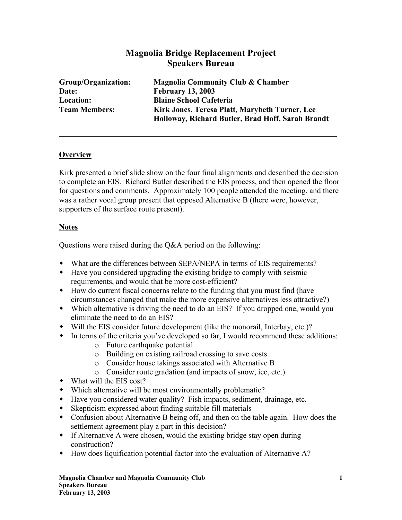## **Magnolia Bridge Replacement Project Speakers Bureau**

| Group/Organization:  | <b>Magnolia Community Club &amp; Chamber</b>      |
|----------------------|---------------------------------------------------|
| Date:                | <b>February 13, 2003</b>                          |
| <b>Location:</b>     | <b>Blaine School Cafeteria</b>                    |
| <b>Team Members:</b> | Kirk Jones, Teresa Platt, Marybeth Turner, Lee    |
|                      | Holloway, Richard Butler, Brad Hoff, Sarah Brandt |

#### **Overview**

Kirk presented a brief slide show on the four final alignments and described the decision to complete an EIS. Richard Butler described the EIS process, and then opened the floor for questions and comments. Approximately 100 people attended the meeting, and there was a rather vocal group present that opposed Alternative B (there were, however, supporters of the surface route present).

### **Notes**

Questions were raised during the Q&A period on the following:

- What are the differences between SEPA/NEPA in terms of EIS requirements?
- Have you considered upgrading the existing bridge to comply with seismic requirements, and would that be more cost-efficient?
- How do current fiscal concerns relate to the funding that you must find (have circumstances changed that make the more expensive alternatives less attractive?)
- Which alternative is driving the need to do an EIS? If you dropped one, would you eliminate the need to do an EIS?
- Will the EIS consider future development (like the monorail, Interbay, etc.)?
- In terms of the criteria you've developed so far, I would recommend these additions:
	- o Future earthquake potential
	- o Building on existing railroad crossing to save costs
	- o Consider house takings associated with Alternative B
	- o Consider route gradation (and impacts of snow, ice, etc.)
- What will the EIS cost?
- Which alternative will be most environmentally problematic?
- Have you considered water quality? Fish impacts, sediment, drainage, etc.
- Skepticism expressed about finding suitable fill materials
- Confusion about Alternative B being off, and then on the table again. How does the settlement agreement play a part in this decision?
- If Alternative A were chosen, would the existing bridge stay open during construction?
- How does liquification potential factor into the evaluation of Alternative A?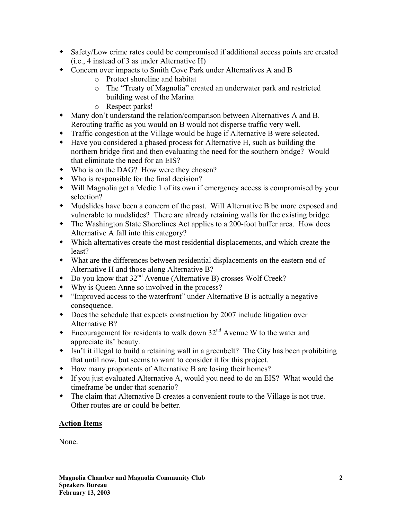- Safety/Low crime rates could be compromised if additional access points are created (i.e., 4 instead of 3 as under Alternative H)
- Concern over impacts to Smith Cove Park under Alternatives A and B
	- o Protect shoreline and habitat
	- o The "Treaty of Magnolia" created an underwater park and restricted building west of the Marina
	- o Respect parks!
- Many don't understand the relation/comparison between Alternatives A and B. Rerouting traffic as you would on B would not disperse traffic very well.
- Traffic congestion at the Village would be huge if Alternative B were selected.
- Have you considered a phased process for Alternative H, such as building the northern bridge first and then evaluating the need for the southern bridge? Would that eliminate the need for an EIS?
- Who is on the DAG? How were they chosen?
- Who is responsible for the final decision?
- Will Magnolia get a Medic 1 of its own if emergency access is compromised by your selection?
- Mudslides have been a concern of the past. Will Alternative B be more exposed and vulnerable to mudslides? There are already retaining walls for the existing bridge.
- The Washington State Shorelines Act applies to a 200-foot buffer area. How does Alternative A fall into this category?
- Which alternatives create the most residential displacements, and which create the least?
- What are the differences between residential displacements on the eastern end of Alternative H and those along Alternative B?
- $\bullet$  Do you know that  $32<sup>nd</sup>$  Avenue (Alternative B) crosses Wolf Creek?
- Why is Queen Anne so involved in the process?
- "Improved access to the waterfront" under Alternative B is actually a negative consequence.
- Does the schedule that expects construction by 2007 include litigation over Alternative B?
- Encouragement for residents to walk down  $32<sup>nd</sup>$  Avenue W to the water and appreciate its' beauty.
- Isn't it illegal to build a retaining wall in a greenbelt? The City has been prohibiting that until now, but seems to want to consider it for this project.
- How many proponents of Alternative B are losing their homes?
- If you just evaluated Alternative A, would you need to do an EIS? What would the timeframe be under that scenario?
- The claim that Alternative B creates a convenient route to the Village is not true. Other routes are or could be better.

# **Action Items**

None.